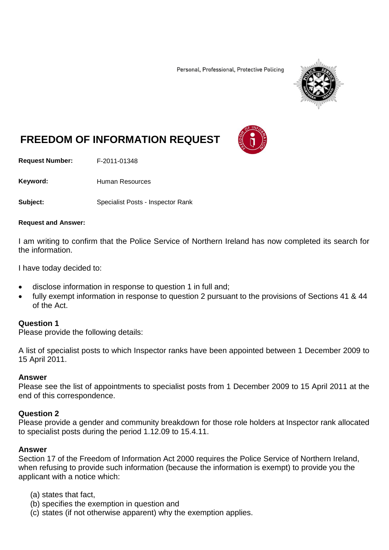Personal, Professional, Protective Policing



# **FREEDOM OF INFORMATION REQUEST**

**Request Number:** F-2011-01348

Keyword: Human Resources

**Subject:** Specialist Posts - Inspector Rank

#### **Request and Answer:**

I am writing to confirm that the Police Service of Northern Ireland has now completed its search for the information.

I have today decided to:

- disclose information in response to question 1 in full and;
- fully exempt information in response to question 2 pursuant to the provisions of Sections 41 & 44 of the Act.

### **Question 1**

Please provide the following details:

A list of specialist posts to which Inspector ranks have been appointed between 1 December 2009 to 15 April 2011.

### **Answer**

Please see the list of appointments to specialist posts from 1 December 2009 to 15 April 2011 at the end of this correspondence.

### **Question 2**

Please provide a gender and community breakdown for those role holders at Inspector rank allocated to specialist posts during the period 1.12.09 to 15.4.11.

### **Answer**

Section 17 of the Freedom of Information Act 2000 requires the Police Service of Northern Ireland, when refusing to provide such information (because the information is exempt) to provide you the applicant with a notice which:

- (a) states that fact,
- (b) specifies the exemption in question and
- (c) states (if not otherwise apparent) why the exemption applies.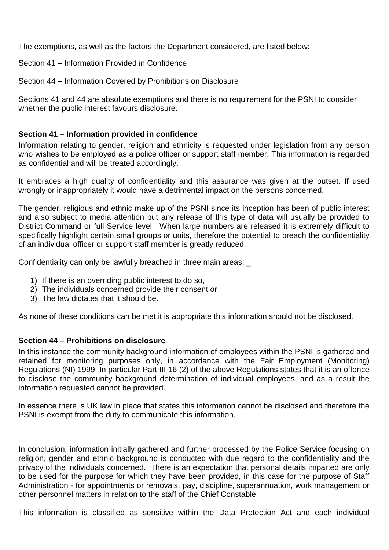The exemptions, as well as the factors the Department considered, are listed below:

Section 41 – Information Provided in Confidence

Section 44 – Information Covered by Prohibitions on Disclosure

Sections 41 and 44 are absolute exemptions and there is no requirement for the PSNI to consider whether the public interest favours disclosure.

## **Section 41 – Information provided in confidence**

Information relating to gender, religion and ethnicity is requested under legislation from any person who wishes to be employed as a police officer or support staff member. This information is regarded as confidential and will be treated accordingly.

It embraces a high quality of confidentiality and this assurance was given at the outset. If used wrongly or inappropriately it would have a detrimental impact on the persons concerned.

The gender, religious and ethnic make up of the PSNI since its inception has been of public interest and also subject to media attention but any release of this type of data will usually be provided to District Command or full Service level. When large numbers are released it is extremely difficult to specifically highlight certain small groups or units, therefore the potential to breach the confidentiality of an individual officer or support staff member is greatly reduced.

Confidentiality can only be lawfully breached in three main areas: \_

- 1) If there is an overriding public interest to do so,
- 2) The individuals concerned provide their consent or
- 3) The law dictates that it should be.

As none of these conditions can be met it is appropriate this information should not be disclosed.

### **Section 44 – Prohibitions on disclosure**

In this instance the community background information of employees within the PSNI is gathered and retained for monitoring purposes only, in accordance with the Fair Employment (Monitoring) Regulations (NI) 1999. In particular Part III 16 (2) of the above Regulations states that it is an offence to disclose the community background determination of individual employees, and as a result the information requested cannot be provided.

In essence there is UK law in place that states this information cannot be disclosed and therefore the PSNI is exempt from the duty to communicate this information.

In conclusion, information initially gathered and further processed by the Police Service focusing on religion, gender and ethnic background is conducted with due regard to the confidentiality and the privacy of the individuals concerned. There is an expectation that personal details imparted are only to be used for the purpose for which they have been provided, in this case for the purpose of Staff Administration - for appointments or removals, pay, discipline, superannuation, work management or other personnel matters in relation to the staff of the Chief Constable.

This information is classified as sensitive within the Data Protection Act and each individual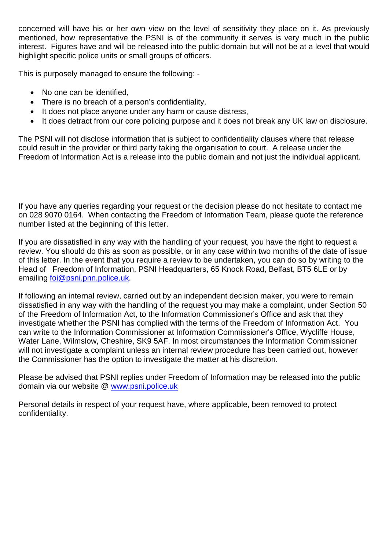concerned will have his or her own view on the level of sensitivity they place on it. As previously mentioned, how representative the PSNI is of the community it serves is very much in the public interest. Figures have and will be released into the public domain but will not be at a level that would highlight specific police units or small groups of officers.

This is purposely managed to ensure the following: -

- No one can be identified,
- There is no breach of a person's confidentiality,
- It does not place anyone under any harm or cause distress,
- It does detract from our core policing purpose and it does not break any UK law on disclosure.

The PSNI will not disclose information that is subject to confidentiality clauses where that release could result in the provider or third party taking the organisation to court. A release under the Freedom of Information Act is a release into the public domain and not just the individual applicant.

If you have any queries regarding your request or the decision please do not hesitate to contact me on 028 9070 0164. When contacting the Freedom of Information Team, please quote the reference number listed at the beginning of this letter.

If you are dissatisfied in any way with the handling of your request, you have the right to request a review. You should do this as soon as possible, or in any case within two months of the date of issue of this letter. In the event that you require a review to be undertaken, you can do so by writing to the Head of Freedom of Information, PSNI Headquarters, 65 Knock Road, Belfast, BT5 6LE or by emailing [foi@psni.pnn.police.uk.](mailto:foi@psni.pnn.police.uk)

If following an internal review, carried out by an independent decision maker, you were to remain dissatisfied in any way with the handling of the request you may make a complaint, under Section 50 of the Freedom of Information Act, to the Information Commissioner's Office and ask that they investigate whether the PSNI has complied with the terms of the Freedom of Information Act. You can write to the Information Commissioner at Information Commissioner's Office, Wycliffe House, Water Lane, Wilmslow, Cheshire, SK9 5AF. In most circumstances the Information Commissioner will not investigate a complaint unless an internal review procedure has been carried out, however the Commissioner has the option to investigate the matter at his discretion.

Please be advised that PSNI replies under Freedom of Information may be released into the public domain via our website @ [www.psni.police.uk](http://www.psni.police.uk/)

Personal details in respect of your request have, where applicable, been removed to protect confidentiality.